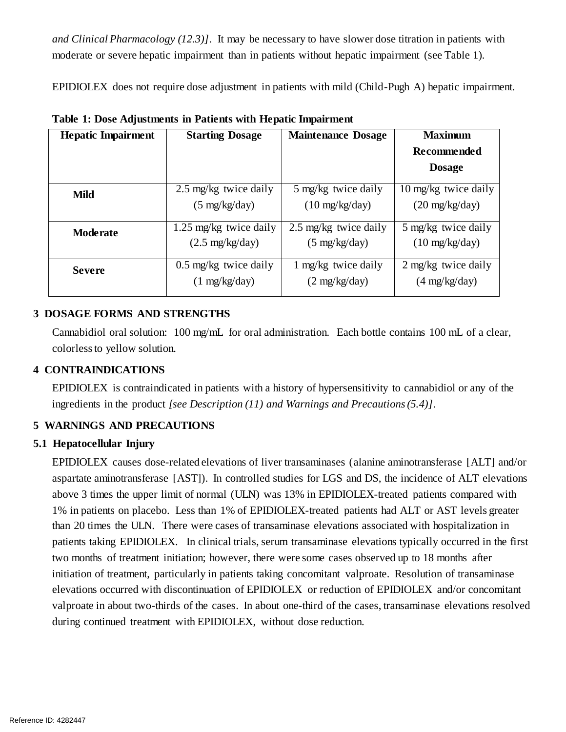*and Clinical Pharmacology (12.3)].* It may be necessary to have slower dose titration in patients with moderate or severe hepatic impairment than in patients without hepatic impairment (see Table 1)*.* 

EPIDIOLEX does not require dose adjustment in patients with mild (Child-Pugh A) hepatic impairment.

| <b>Hepatic Impairment</b> | <b>Starting Dosage</b>    | <b>Maintenance Dosage</b> | <b>Maximum</b>           |
|---------------------------|---------------------------|---------------------------|--------------------------|
|                           |                           |                           | Recommended              |
|                           |                           |                           | <b>Dosage</b>            |
| <b>Mild</b>               | 2.5 mg/kg twice daily     | 5 mg/kg twice daily       | 10 mg/kg twice daily     |
|                           | $(5 \text{ mg/kg/day})$   | $(10 \text{ mg/kg/day})$  | $(20 \text{ mg/kg/day})$ |
| <b>Moderate</b>           | 1.25 mg/kg twice daily    | 2.5 mg/kg twice daily     | 5 mg/kg twice daily      |
|                           | $(2.5 \text{ mg/kg/day})$ | $(5 \text{ mg/kg/day})$   | $(10 \text{ mg/kg/day})$ |
| <b>Severe</b>             | 0.5 mg/kg twice daily     | 1 mg/kg twice daily       | 2 mg/kg twice daily      |
|                           | $(1 \text{ mg/kg/day})$   | $(2 \text{ mg/kg/day})$   | $(4 \text{ mg/kg/day})$  |
|                           |                           |                           |                          |

 **Table 1: Dose Adjustments in Patients with Hepatic Impairment** 

# **3 DOSAGE FORMS AND STRENGTHS**

 Cannabidiol oral solution: 100 mg/mL for oral administration. Each bottle contains 100 mL of a clear, colorless to yellow solution.

## **4 CONTRAINDICATIONS**

 EPIDIOLEX is contraindicated in patients with a history of hypersensitivity to cannabidiol or any of the ingredients in the product *[see Description (11) and Warnings and Precautions (5.4)].* 

# **5 WARNINGS AND PRECAUTIONS**

### **5.1 Hepatocellular Injury**

 EPIDIOLEX causes dose-related elevations of liver transaminases (alanine aminotransferase [ALT] and/or aspartate aminotransferase [AST]). In controlled studies for LGS and DS, the incidence of ALT elevations above 3 times the upper limit of normal (ULN) was 13% in EPIDIOLEX-treated patients compared with 1% in patients on placebo. Less than 1% of EPIDIOLEX-treated patients had ALT or AST levels greater than 20 times the ULN. There were cases of transaminase elevations associated with hospitalization in patients taking EPIDIOLEX. In clinical trials, serum transaminase elevations typically occurred in the first two months of treatment initiation; however, there were some cases observed up to 18 months after initiation of treatment, particularly in patients taking concomitant valproate. Resolution of transaminase elevations occurred with discontinuation of EPIDIOLEX or reduction of EPIDIOLEX and/or concomitant valproate in about two-thirds of the cases. In about one-third of the cases, transaminase elevations resolved during continued treatment with EPIDIOLEX, without dose reduction.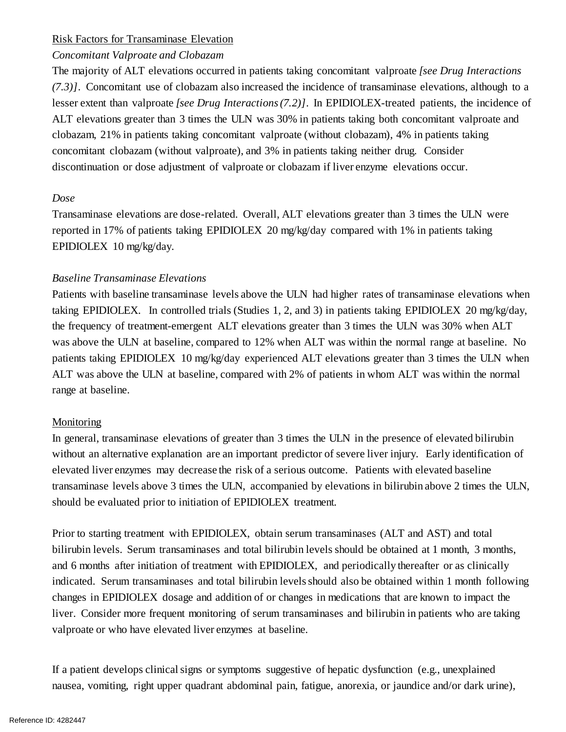### Risk Factors for Transaminase Elevation

### *Concomitant Valproate and Clobazam*

 The majority of ALT elevations occurred in patients taking concomitant valproate *[see Drug Interactions (7.3)].* Concomitant use of clobazam also increased the incidence of transaminase elevations, although to a lesser extent than valproate *[see Drug Interactions (7.2)].* In EPIDIOLEX-treated patients, the incidence of ALT elevations greater than 3 times the ULN was 30% in patients taking both concomitant valproate and clobazam, 21% in patients taking concomitant valproate (without clobazam), 4% in patients taking concomitant clobazam (without valproate), and 3% in patients taking neither drug. Consider discontinuation or dose adjustment of valproate or clobazam if liver enzyme elevations occur.

### *Dose*

 Transaminase elevations are dose-related. Overall, ALT elevations greater than 3 times the ULN were reported in 17% of patients taking EPIDIOLEX 20 mg/kg/day compared with 1% in patients taking EPIDIOLEX 10 mg/kg/day.

### *Baseline Transaminase Elevations*

 Patients with baseline transaminase levels above the ULN had higher rates of transaminase elevations when taking EPIDIOLEX. In controlled trials (Studies 1, 2, and 3) in patients taking EPIDIOLEX 20 mg/kg/day, the frequency of treatment-emergent ALT elevations greater than 3 times the ULN was 30% when ALT was above the ULN at baseline, compared to 12% when ALT was within the normal range at baseline. No patients taking EPIDIOLEX 10 mg/kg/day experienced ALT elevations greater than 3 times the ULN when ALT was above the ULN at baseline, compared with 2% of patients in whom ALT was within the normal range at baseline.

### Monitoring

 In general, transaminase elevations of greater than 3 times the ULN in the presence of elevated bilirubin without an alternative explanation are an important predictor of severe liver injury. Early identification of elevated liver enzymes may decrease the risk of a serious outcome. Patients with elevated baseline transaminase levels above 3 times the ULN, accompanied by elevations in bilirubin above 2 times the ULN, should be evaluated prior to initiation of EPIDIOLEX treatment.

 Prior to starting treatment with EPIDIOLEX, obtain serum transaminases (ALT and AST) and total bilirubin levels. Serum transaminases and total bilirubin levels should be obtained at 1 month, 3 months, and 6 months after initiation of treatment with EPIDIOLEX, and periodically thereafter or as clinically indicated. Serum transaminases and total bilirubin levels should also be obtained within 1 month following changes in EPIDIOLEX dosage and addition of or changes in medications that are known to impact the liver. Consider more frequent monitoring of serum transaminases and bilirubin in patients who are taking valproate or who have elevated liver enzymes at baseline.

 If a patient develops clinical signs or symptoms suggestive of hepatic dysfunction (e.g., unexplained nausea, vomiting, right upper quadrant abdominal pain, fatigue, anorexia, or jaundice and/or dark urine),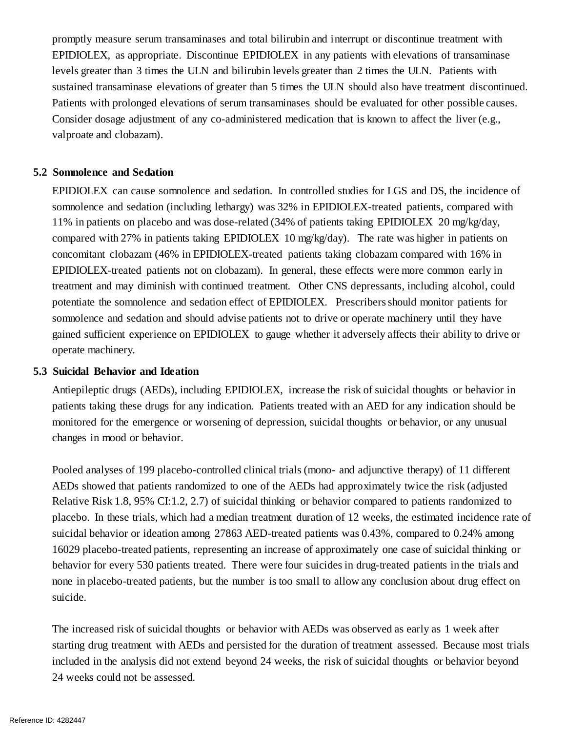promptly measure serum transaminases and total bilirubin and interrupt or discontinue treatment with EPIDIOLEX, as appropriate. Discontinue EPIDIOLEX in any patients with elevations of transaminase levels greater than 3 times the ULN and bilirubin levels greater than 2 times the ULN. Patients with sustained transaminase elevations of greater than 5 times the ULN should also have treatment discontinued. Patients with prolonged elevations of serum transaminases should be evaluated for other possible causes. Consider dosage adjustment of any co-administered medication that is known to affect the liver (e.g., valproate and clobazam).

#### **5.2 Somnolence and Sedation**

 EPIDIOLEX can cause somnolence and sedation. In controlled studies for LGS and DS, the incidence of somnolence and sedation (including lethargy) was 32% in EPIDIOLEX-treated patients, compared with 11% in patients on placebo and was dose-related (34% of patients taking EPIDIOLEX 20 mg/kg/day, compared with 27% in patients taking EPIDIOLEX 10 mg/kg/day). The rate was higher in patients on concomitant clobazam (46% in EPIDIOLEX-treated patients taking clobazam compared with 16% in EPIDIOLEX-treated patients not on clobazam). In general, these effects were more common early in treatment and may diminish with continued treatment. Other CNS depressants, including alcohol, could potentiate the somnolence and sedation effect of EPIDIOLEX. Prescribers should monitor patients for somnolence and sedation and should advise patients not to drive or operate machinery until they have gained sufficient experience on EPIDIOLEX to gauge whether it adversely affects their ability to drive or operate machinery.

#### **5.3 Suicidal Behavior and Ideation**

 Antiepileptic drugs (AEDs), including EPIDIOLEX, increase the risk of suicidal thoughts or behavior in patients taking these drugs for any indication. Patients treated with an AED for any indication should be monitored for the emergence or worsening of depression, suicidal thoughts or behavior, or any unusual changes in mood or behavior.

 Pooled analyses of 199 placebo-controlled clinical trials (mono- and adjunctive therapy) of 11 different AEDs showed that patients randomized to one of the AEDs had approximately twice the risk (adjusted Relative Risk 1.8, 95% CI:1.2, 2.7) of suicidal thinking or behavior compared to patients randomized to placebo. In these trials, which had a median treatment duration of 12 weeks, the estimated incidence rate of suicidal behavior or ideation among 27863 AED-treated patients was 0.43%, compared to 0.24% among 16029 placebo-treated patients, representing an increase of approximately one case of suicidal thinking or behavior for every 530 patients treated. There were four suicides in drug-treated patients in the trials and none in placebo-treated patients, but the number is too small to allow any conclusion about drug effect on suicide.

 The increased risk of suicidal thoughts or behavior with AEDs was observed as early as 1 week after starting drug treatment with AEDs and persisted for the duration of treatment assessed. Because most trials included in the analysis did not extend beyond 24 weeks, the risk of suicidal thoughts or behavior beyond 24 weeks could not be assessed.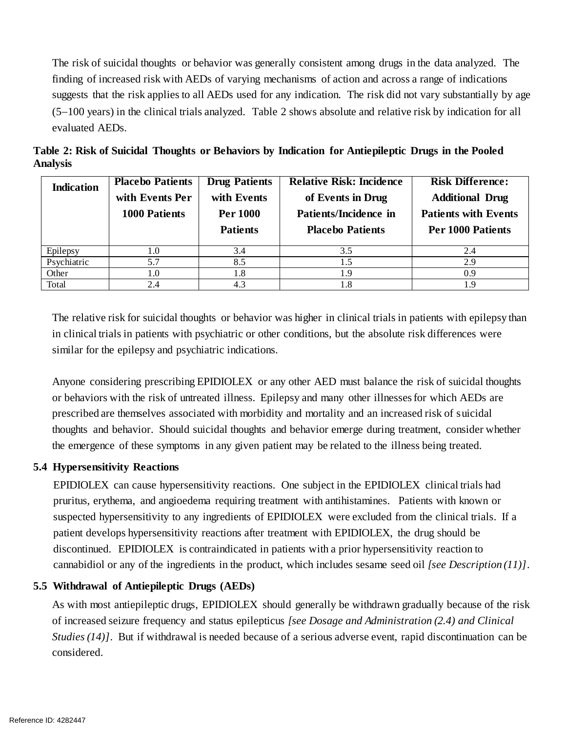The risk of suicidal thoughts or behavior was generally consistent among drugs in the data analyzed. The finding of increased risk with AEDs of varying mechanisms of action and across a range of indications suggests that the risk applies to all AEDs used for any indication. The risk did not vary substantially by age  $(5-100 \text{ years})$  in the clinical trials analyzed. Table 2 shows absolute and relative risk by indication for all evaluated AEDs.

| Table 2: Risk of Suicidal Thoughts or Behaviors by Indication for Antiepileptic Drugs in the Pooled |  |  |  |
|-----------------------------------------------------------------------------------------------------|--|--|--|
| <b>Analysis</b>                                                                                     |  |  |  |

| <b>Indication</b> | <b>Placebo Patients</b> | <b>Drug Patients</b> | <b>Relative Risk: Incidence</b> | <b>Risk Difference:</b>     |
|-------------------|-------------------------|----------------------|---------------------------------|-----------------------------|
|                   | with Events Per         | with Events          | of Events in Drug               | <b>Additional Drug</b>      |
|                   | <b>1000 Patients</b>    | <b>Per 1000</b>      | Patients/Incidence in           | <b>Patients with Events</b> |
|                   |                         | <b>Patients</b>      | <b>Placebo Patients</b>         | <b>Per 1000 Patients</b>    |
|                   |                         |                      |                                 |                             |
| Epilepsy          | 1.0                     | 3.4                  | 3.5                             | 2.4                         |
| Psychiatric       | 5.7                     | 8.5                  | 1.5                             | 2.9                         |
| Other             | 1.0                     | 1.8                  | 1.9                             | 0.9                         |
| Total             | 2.4                     | 4.3                  | 1.8                             | 1.9                         |

 The relative risk for suicidal thoughts or behavior was higher in clinical trials in patients with epilepsy than in clinical trials in patients with psychiatric or other conditions, but the absolute risk differences were similar for the epilepsy and psychiatric indications.

 Anyone considering prescribing EPIDIOLEX or any other AED must balance the risk of suicidal thoughts or behaviors with the risk of untreated illness. Epilepsy and many other illnesses for which AEDs are prescribed are themselves associated with morbidity and mortality and an increased risk of suicidal thoughts and behavior. Should suicidal thoughts and behavior emerge during treatment, consider whether the emergence of these symptoms in any given patient may be related to the illness being treated.

### **5.4 Hypersensitivity Reactions**

 EPIDIOLEX can cause hypersensitivity reactions. One subject in the EPIDIOLEX clinical trials had pruritus, erythema, and angioedema requiring treatment with antihistamines. Patients with known or suspected hypersensitivity to any ingredients of EPIDIOLEX were excluded from the clinical trials. If a patient develops hypersensitivity reactions after treatment with EPIDIOLEX, the drug should be discontinued. EPIDIOLEX is contraindicated in patients with a prior hypersensitivity reaction to cannabidiol or any of the ingredients in the product, which includes sesame seed oil *[see Description (11)].* 

### **5.5 Withdrawal of Antiepileptic Drugs (AEDs)**

 As with most antiepileptic drugs, EPIDIOLEX should generally be withdrawn gradually because of the risk of increased seizure frequency and status epilepticus *[see Dosage and Administration (2.4) and Clinical Studies (14)]*. But if withdrawal is needed because of a serious adverse event, rapid discontinuation can be considered.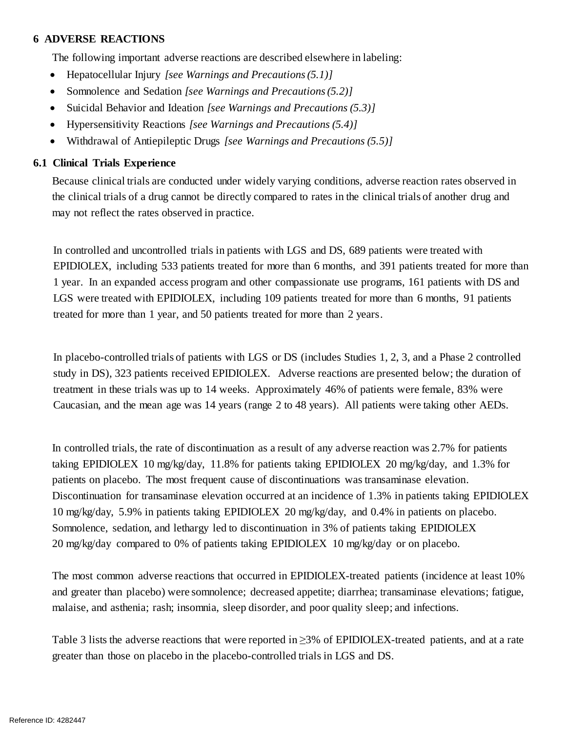### **6 ADVERSE REACTIONS**

The following important adverse reactions are described elsewhere in labeling:

- Hepatocellular Injury *[see Warnings and Precautions (5.1)]*
- Somnolence and Sedation *[see Warnings and Precautions (5.2)]*
- Suicidal Behavior and Ideation *[see Warnings and Precautions (5.3)]*
- Hypersensitivity Reactions *[see Warnings and Precautions (5.4)]*
- Withdrawal of Antiepileptic Drugs *[see Warnings and Precautions (5.5)]*

### **6.1 Clinical Trials Experience**

 Because clinical trials are conducted under widely varying conditions, adverse reaction rates observed in the clinical trials of a drug cannot be directly compared to rates in the clinical trials of another drug and may not reflect the rates observed in practice.

 In controlled and uncontrolled trials in patients with LGS and DS, 689 patients were treated with EPIDIOLEX, including 533 patients treated for more than 6 months, and 391 patients treated for more than 1 year. In an expanded access program and other compassionate use programs, 161 patients with DS and LGS were treated with EPIDIOLEX, including 109 patients treated for more than 6 months, 91 patients treated for more than 1 year, and 50 patients treated for more than 2 years.

 In placebo-controlled trials of patients with LGS or DS (includes Studies 1, 2, 3, and a Phase 2 controlled study in DS), 323 patients received EPIDIOLEX. Adverse reactions are presented below; the duration of treatment in these trials was up to 14 weeks. Approximately 46% of patients were female, 83% were Caucasian, and the mean age was 14 years (range 2 to 48 years). All patients were taking other AEDs.

 In controlled trials, the rate of discontinuation as a result of any adverse reaction was 2.7% for patients taking EPIDIOLEX 10 mg/kg/day, 11.8% for patients taking EPIDIOLEX 20 mg/kg/day, and 1.3% for patients on placebo. The most frequent cause of discontinuations was transaminase elevation. Discontinuation for transaminase elevation occurred at an incidence of 1.3% in patients taking EPIDIOLEX 10 mg/kg/day, 5.9% in patients taking EPIDIOLEX 20 mg/kg/day, and 0.4% in patients on placebo. Somnolence, sedation, and lethargy led to discontinuation in 3% of patients taking EPIDIOLEX 20 mg/kg/day compared to 0% of patients taking EPIDIOLEX 10 mg/kg/day or on placebo.

 The most common adverse reactions that occurred in EPIDIOLEX-treated patients (incidence at least 10% and greater than placebo) were somnolence; decreased appetite; diarrhea; transaminase elevations; fatigue, malaise, and asthenia; rash; insomnia, sleep disorder, and poor quality sleep; and infections.

 Table 3 lists the adverse reactions that were reported in ≥3% of EPIDIOLEX-treated patients, and at a rate greater than those on placebo in the placebo-controlled trials in LGS and DS.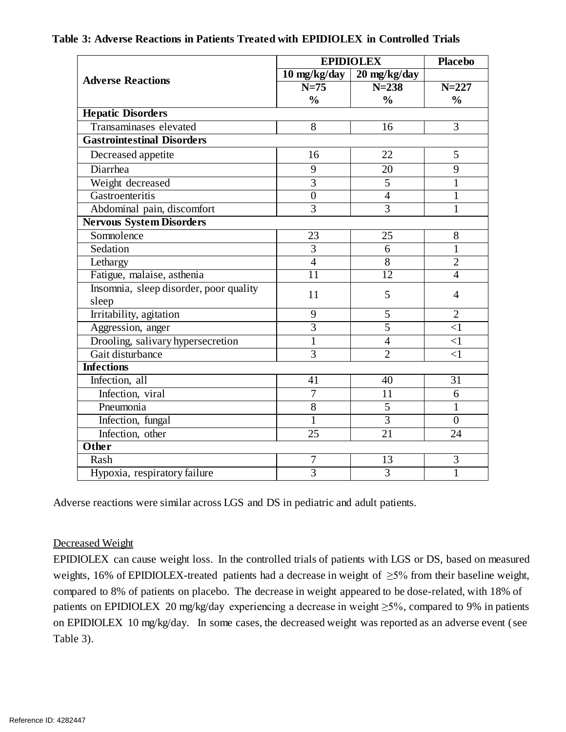|                                        | <b>EPIDIOLEX</b>                 | <b>Placebo</b>  |                |
|----------------------------------------|----------------------------------|-----------------|----------------|
|                                        | $10 \frac{\text{mg}}{\text{kg}}$ | 20 mg/kg/day    |                |
| <b>Adverse Reactions</b>               | $N=75$                           | $N = 238$       | $N = 227$      |
|                                        | $\frac{0}{0}$                    | $\frac{0}{0}$   | $\frac{0}{0}$  |
| <b>Hepatic Disorders</b>               |                                  |                 |                |
| Transaminases elevated                 | 8                                | 16              | 3              |
| <b>Gastrointestinal Disorders</b>      |                                  |                 |                |
| Decreased appetite                     | 16                               | 22              | 5              |
| Diarrhea                               | 9                                | 20              | 9              |
| Weight decreased                       | $\overline{3}$                   | $\overline{5}$  | $\overline{1}$ |
| Gastroenteritis                        | $\overline{0}$                   | $\overline{4}$  | $\mathbf{1}$   |
| Abdominal pain, discomfort             | $\overline{3}$                   | $\overline{3}$  | $\mathbf{1}$   |
| <b>Nervous System Disorders</b>        |                                  |                 |                |
| Somnolence                             | 23                               | 25              | 8              |
| Sedation                               | $\overline{3}$                   | 6               | $\mathbf{1}$   |
| Lethargy                               | $\overline{4}$                   | $\overline{8}$  | $\overline{2}$ |
| Fatigue, malaise, asthenia             | $\overline{11}$                  | $\overline{12}$ | $\overline{4}$ |
| Insomnia, sleep disorder, poor quality | 11                               | 5               | $\overline{4}$ |
| sleep                                  |                                  |                 |                |
| Irritability, agitation                | 9                                | 5               | $\overline{2}$ |
| Aggression, anger                      | $\overline{3}$                   | $\overline{5}$  | $\leq$ 1       |
| Drooling, salivary hypersecretion      | $\mathbf{1}$                     | $\overline{4}$  | $\leq$ 1       |
| Gait disturbance                       | $\overline{3}$                   | $\overline{2}$  | $\leq$ 1       |
| <b>Infections</b>                      |                                  |                 |                |
| Infection, all                         | 41                               | 40              | 31             |
| Infection, viral                       | $\overline{7}$                   | 11              | 6              |
| Pneumonia                              | $\overline{8}$                   | 5               | $\mathbf{1}$   |
| Infection, fungal                      | $\mathbf{1}$                     | $\overline{3}$  | $\overline{0}$ |
| Infection, other                       | 25                               | 21              | 24             |
| Other                                  |                                  |                 |                |
| Rash                                   | 7                                | 13              | 3              |
| Hypoxia, respiratory failure           | $\overline{3}$                   | $\overline{3}$  | $\mathbf{1}$   |

### **Table 3: Adverse Reactions in Patients Treated with EPIDIOLEX in Controlled Trials**

Adverse reactions were similar across LGS and DS in pediatric and adult patients.

### Decreased Weight

 EPIDIOLEX can cause weight loss. In the controlled trials of patients with LGS or DS, based on measured weights, 16% of EPIDIOLEX-treated patients had a decrease in weight of ≥5% from their baseline weight, compared to 8% of patients on placebo. The decrease in weight appeared to be dose-related, with 18% of patients on EPIDIOLEX 20 mg/kg/day experiencing a decrease in weight ≥5%, compared to 9% in patients on EPIDIOLEX 10 mg/kg/day. In some cases, the decreased weight was reported as an adverse event (see Table 3).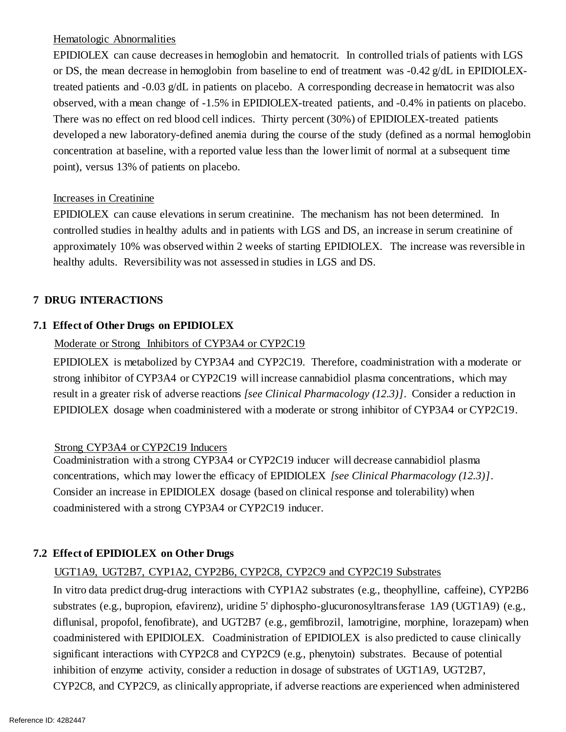### Hematologic Abnormalities

 EPIDIOLEX can cause decreases in hemoglobin and hematocrit. In controlled trials of patients with LGS or DS, the mean decrease in hemoglobin from baseline to end of treatment was -0.42 g/dL in EPIDIOLEX- treated patients and -0.03 g/dL in patients on placebo. A corresponding decrease in hematocrit was also observed, with a mean change of -1.5% in EPIDIOLEX-treated patients, and -0.4% in patients on placebo. There was no effect on red blood cell indices. Thirty percent (30%) of EPIDIOLEX-treated patients developed a new laboratory-defined anemia during the course of the study (defined as a normal hemoglobin concentration at baseline, with a reported value less than the lower limit of normal at a subsequent time point), versus 13% of patients on placebo.

### Increases in Creatinine

 EPIDIOLEX can cause elevations in serum creatinine. The mechanism has not been determined. In controlled studies in healthy adults and in patients with LGS and DS, an increase in serum creatinine of approximately 10% was observed within 2 weeks of starting EPIDIOLEX. The increase was reversible in healthy adults. Reversibility was not assessed in studies in LGS and DS.

# **7 DRUG INTERACTIONS**

# **7.1 Effect of Other Drugs on EPIDIOLEX**

### Moderate or Strong Inhibitors of CYP3A4 or CYP2C19

 EPIDIOLEX is metabolized by CYP3A4 and CYP2C19. Therefore, coadministration with a moderate or strong inhibitor of CYP3A4 or CYP2C19 will increase cannabidiol plasma concentrations, which may result in a greater risk of adverse reactions *[see Clinical Pharmacology (12.3)].* Consider a reduction in EPIDIOLEX dosage when coadministered with a moderate or strong inhibitor of CYP3A4 or CYP2C19.

## Strong CYP3A4 or CYP2C19 Inducers

 Coadministration with a strong CYP3A4 or CYP2C19 inducer will decrease cannabidiol plasma concentrations, which may lower the efficacy of EPIDIOLEX *[see Clinical Pharmacology (12.3)]*. Consider an increase in EPIDIOLEX dosage (based on clinical response and tolerability) when coadministered with a strong CYP3A4 or CYP2C19 inducer.

# **7.2 Effect of EPIDIOLEX on Other Drugs**

### UGT1A9, UGT2B7, CYP1A2, CYP2B6, CYP2C8, CYP2C9 and CYP2C19 Substrates

 In vitro data predict drug-drug interactions with CYP1A2 substrates (e.g., theophylline, caffeine), CYP2B6 coadministered with EPIDIOLEX. Coadministration of EPIDIOLEX is also predicted to cause clinically significant interactions with CYP2C8 and CYP2C9 (e.g., phenytoin) substrates. Because of potential inhibition of enzyme activity, consider a reduction in dosage of substrates of UGT1A9, UGT2B7, CYP2C8, and CYP2C9, as clinically appropriate, if adverse reactions are experienced when administered substrates (e.g., bupropion, efavirenz), uridine 5' diphospho-glucuronosyltransferase 1A9 (UGT1A9) (e.g., diflunisal, propofol, fenofibrate), and UGT2B7 (e.g., gemfibrozil, lamotrigine, morphine, lorazepam) when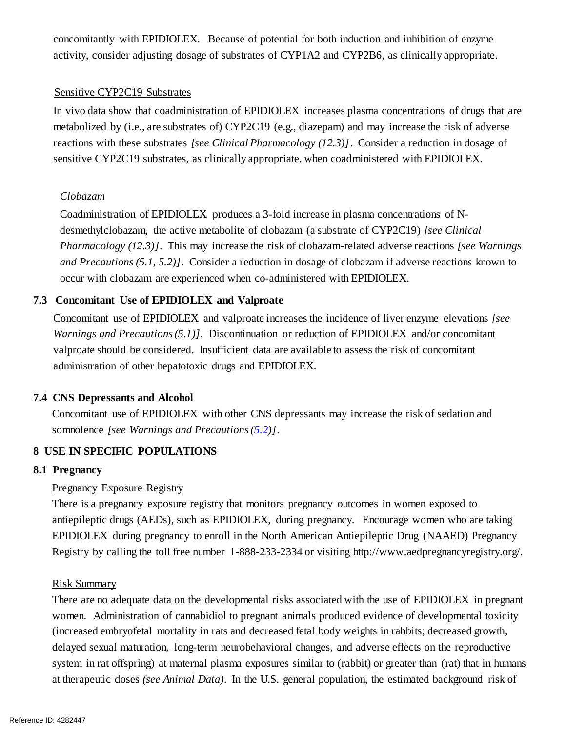concomitantly with EPIDIOLEX. Because of potential for both induction and inhibition of enzyme activity, consider adjusting dosage of substrates of CYP1A2 and CYP2B6, as clinically appropriate.

#### Sensitive CYP2C19 Substrates

Sensitive CYP2C19 Substrates<br>In vivo data show that coadministration of EPIDIOLEX increases plasma concentrations of drugs that are metabolized by (i.e., are substrates of) CYP2C19 (e.g., diazepam) and may increase the risk of adverse reactions with these substrates *[see Clinical Pharmacology (12.3)]*. Consider a reduction in dosage of sensitive CYP2C19 substrates, as clinically appropriate, when coadministered with EPIDIOLEX.

#### *Clobazam*

 Coadministration of EPIDIOLEX produces a 3-fold increase in plasma concentrations of N- desmethylclobazam, the active metabolite of clobazam (a substrate of CYP2C19) *[see Clinical Pharmacology (12.3)].* This may increase the risk of clobazam-related adverse reactions *[see Warnings and Precautions (5.1, 5.2)]*. Consider a reduction in dosage of clobazam if adverse reactions known to occur with clobazam are experienced when co-administered with EPIDIOLEX.

### **7.3 Concomitant Use of EPIDIOLEX and Valproate**

 Concomitant use of EPIDIOLEX and valproate increases the incidence of liver enzyme elevations *[see Warnings and Precautions (5.1)].* Discontinuation or reduction of EPIDIOLEX and/or concomitant valproate should be considered. Insufficient data are available to assess the risk of concomitant administration of other hepatotoxic drugs and EPIDIOLEX.

### **7.4 CNS Depressants and Alcohol**

 Concomitant use of EPIDIOLEX with other CNS depressants may increase the risk of sedation and  somnolence *[see Warnings and Precautions [\(5.2\)](http://fdalabel.fda.gov/fdalabel-r/services/spl/set-ids/de03bd69-2dca-459c-93b4-541fd3e9571c/spl-doc?hl=alcohol#LINK_13d79efb-b31e-4a55-8cd2-eae0787670dd)]*.

### **8 USE IN SPECIFIC POPULATIONS**

#### **8.1 Pregnancy**

### Pregnancy Exposure Registry

 There is a pregnancy exposure registry that monitors pregnancy outcomes in women exposed to antiepileptic drugs (AEDs), such as EPIDIOLEX, during pregnancy. Encourage women who are taking EPIDIOLEX during pregnancy to enroll in the North American Antiepileptic Drug (NAAED) Pregnancy Registry by calling the toll free number 1-888-233-2334 or visiting http://www.aedpregnancyregistry.org/.

#### Risk Summary

There are no adequate data on the developmental risks associated with the use of EPIDIOLEX in pregnant women. Administration of cannabidiol to pregnant animals produced evidence of developmental toxicity (increased embryofetal mortality in rats and decreased fetal body weights in rabbits; decreased growth, delayed sexual maturation, long-term neurobehavioral changes, and adverse effects on the reproductive system in rat offspring) at maternal plasma exposures similar to (rabbit) or greater than (rat) that in humans at therapeutic doses *(see Animal Data).* In the U.S. general population, the estimated background risk of